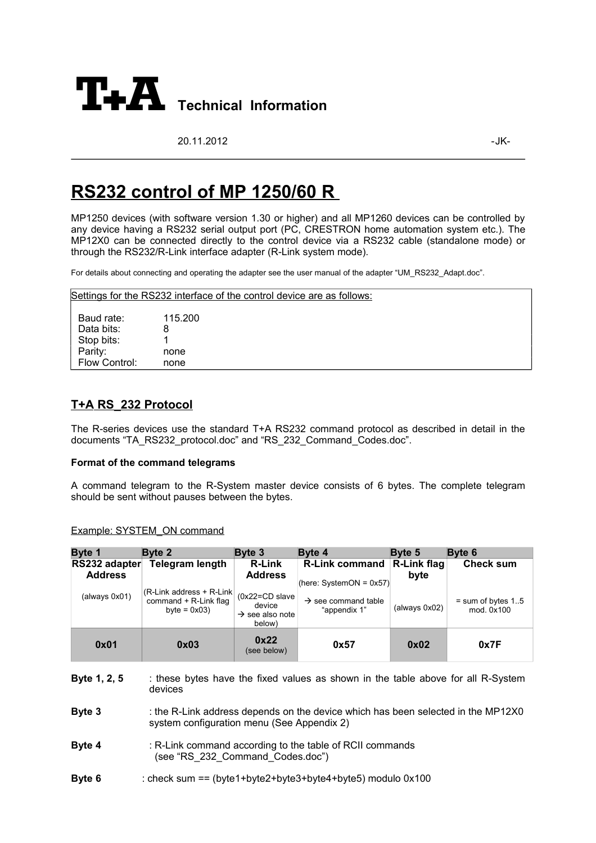

20.11.2012 - JK-

# **RS 232 control of MP 1250/60 R**

MP1250 devices (with software version 1.30 or higher) and all MP1260 devices can be controlled by any device having a RS232 serial output port (PC, CRESTRON home automation system etc.). The MP12X0 can be connected directly to the control device via a RS232 cable (standalone mode) or through the RS232/R-Link interface adapter (R-Link system mode).

For details about connecting and operating the adapter see the user manual of the adapter "UM\_RS232\_Adapt.doc".

|               |         | Settings for the RS232 interface of the control device are as follows: |
|---------------|---------|------------------------------------------------------------------------|
| Baud rate:    | 115.200 |                                                                        |
| Data bits:    |         |                                                                        |
| Stop bits:    |         |                                                                        |
| Parity:       | none    |                                                                        |
| Flow Control: | none    |                                                                        |

# **T + A RS \_232 Protocol**

The R-series devices use the standard T+A RS232 command protocol as described in detail in the documents "TA\_RS232\_protocol.doc" and "RS\_232\_Command\_Codes.doc".

### **Format of the command telegrams**

A command telegram to the R-System master device consists of 6 bytes. The complete telegram should be sent without pauses between the bytes.

### Example: SYSTEM ON command

| Byte 1                          | Byte 2                                                                                                                         | Byte 3                                                            | Byte 4                                              | Byte 5              | Byte 6                            |  |
|---------------------------------|--------------------------------------------------------------------------------------------------------------------------------|-------------------------------------------------------------------|-----------------------------------------------------|---------------------|-----------------------------------|--|
| RS232 adapter<br><b>Address</b> | <b>Telegram length</b>                                                                                                         | <b>R-Link</b><br><b>Address</b>                                   | <b>R-Link command</b><br>(here: SystemON = $0x57$ ) | R-Link flag<br>byte | <b>Check sum</b>                  |  |
| (always 0x01)                   | (R-Link address + R-Link)<br>command + R-Link flag<br>byte = $0x03$ )                                                          | (0x22=CD slave<br>device<br>$\rightarrow$ see also note<br>below) | $\rightarrow$ see command table<br>"appendix 1"     | (always 0x02)       | $=$ sum of bytes 15<br>mod. 0x100 |  |
| 0x01                            | 0x03                                                                                                                           | 0x22<br>(see below)                                               | 0x57                                                | 0x02                | 0x7F                              |  |
| Byte 1, 2, 5                    | these bytes have the fixed values as shown in the table above for all R-System<br>devices                                      |                                                                   |                                                     |                     |                                   |  |
| Byte 3                          | : the R-Link address depends on the device which has been selected in the MP12X0<br>system configuration menu (See Appendix 2) |                                                                   |                                                     |                     |                                   |  |
| Byte 4                          | : R-Link command according to the table of RCII commands<br>(see "RS 232 Command Codes.doc")                                   |                                                                   |                                                     |                     |                                   |  |
| Byte 6                          | : check sum == $(byte1+byte2+byte3+byte4+byte5)$ modulo $0x100$                                                                |                                                                   |                                                     |                     |                                   |  |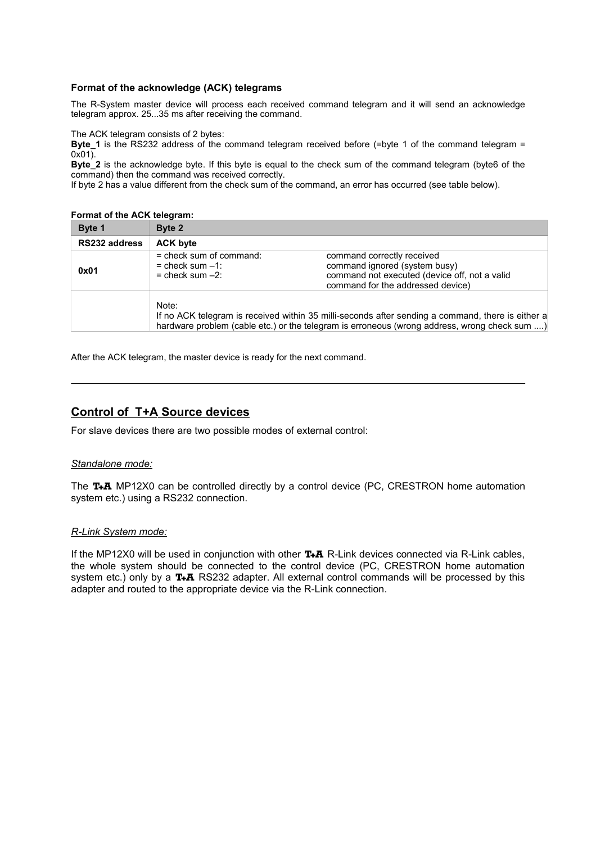## **Format of the acknowledge (ACK) telegrams**

The R-System master device will process each received command telegram and it will send an acknowledge telegram approx. 25...35 ms after receiving the command.

The ACK telegram consists of 2 bytes:

**Byte\_1** is the RS232 address of the command telegram received before (=byte 1 of the command telegram =  $0x01$ ).

**Byte\_2** is the acknowledge byte. If this byte is equal to the check sum of the command telegram (byte6 of the command) then the command was received correctly.

If byte 2 has a value different from the check sum of the command, an error has occurred (see table below).

#### **Format of the ACK telegram:**

| Byte 1        | Byte 2                                                                    |                                                                                                                                                                                                   |
|---------------|---------------------------------------------------------------------------|---------------------------------------------------------------------------------------------------------------------------------------------------------------------------------------------------|
| RS232 address | <b>ACK byte</b>                                                           |                                                                                                                                                                                                   |
| 0x01          | $=$ check sum of command:<br>$=$ check sum $-1$ :<br>$=$ check sum $-2$ : | command correctly received<br>command ignored (system busy)<br>command not executed (device off, not a valid<br>command for the addressed device)                                                 |
|               | Note:                                                                     | If no ACK telegram is received within 35 milli-seconds after sending a command, there is either a<br>hardware problem (cable etc.) or the telegram is erroneous (wrong address, wrong check sum ) |

After the ACK telegram, the master device is ready for the next command.

# **Control of T+A Source devices**

For slave devices there are two possible modes of external control:

### *Standalone mode:*

The T+A MP12X0 can be controlled directly by a control device (PC, CRESTRON home automation system etc.) using a RS232 connection.

### *R - Link System mode:*

If the MP12X0 will be used in conjunction with other  $T+A$  R-Link devices connected via R-Link cables, the whole system should be connected to the control device (PC, CRESTRON home automation system etc.) only by a  $TA$  RS232 adapter. All external control commands will be processed by this adapter and routed to the appropriate device via the R-Link connection.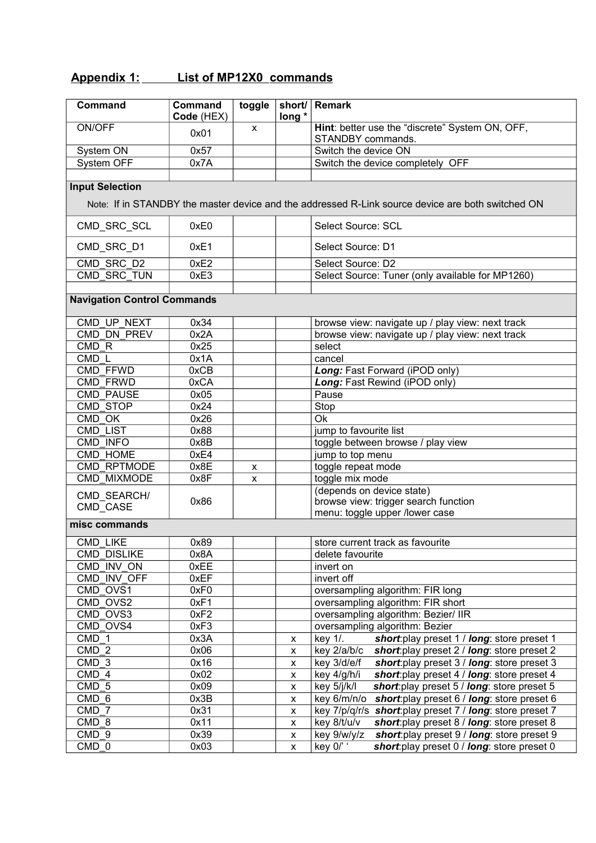# **Appendix 1: List of MP12X0 commands**

| <b>Command</b>                     | Command<br>Code (HEX) | toggle       | short/<br>long * | Remark                                                                                            |  |  |
|------------------------------------|-----------------------|--------------|------------------|---------------------------------------------------------------------------------------------------|--|--|
| ON/OFF                             | 0x01                  | $\mathsf{x}$ |                  | Hint: better use the "discrete" System ON, OFF,<br>STANDBY commands.                              |  |  |
| System ON                          | 0x57                  |              |                  | Switch the device ON                                                                              |  |  |
| System OFF                         | 0x7A                  |              |                  | Switch the device completely OFF                                                                  |  |  |
|                                    |                       |              |                  |                                                                                                   |  |  |
| <b>Input Selection</b>             |                       |              |                  |                                                                                                   |  |  |
|                                    |                       |              |                  | Note: If in STANDBY the master device and the addressed R-Link source device are both switched ON |  |  |
| CMD_SRC_SCL                        | 0xE0                  |              |                  | Select Source: SCL                                                                                |  |  |
| CMD_SRC_D1                         | 0xE1                  |              |                  | Select Source: D1                                                                                 |  |  |
| CMD SRC_D2                         | 0xE2                  |              |                  | Select Source: D2                                                                                 |  |  |
| CMD SRC TUN                        | 0xE3                  |              |                  | Select Source: Tuner (only available for MP1260)                                                  |  |  |
|                                    |                       |              |                  |                                                                                                   |  |  |
| <b>Navigation Control Commands</b> |                       |              |                  |                                                                                                   |  |  |
| CMD UP NEXT                        | 0x34                  |              |                  | browse view: navigate up / play view: next track                                                  |  |  |
| CMD DN PREV                        | 0x2A                  |              |                  | browse view: navigate up / play view: next track                                                  |  |  |
| CMD <sub>R</sub>                   | 0x25                  |              |                  | select                                                                                            |  |  |
| CMD <sub>L</sub>                   | 0x1A                  |              |                  | cancel                                                                                            |  |  |
| <b>CMD FFWD</b>                    | 0xCB                  |              |                  | Long: Fast Forward (iPOD only)                                                                    |  |  |
| CMD FRWD                           | 0xCA                  |              |                  | Long: Fast Rewind (iPOD only)                                                                     |  |  |
| <b>CMD PAUSE</b>                   | 0x05                  |              |                  | Pause                                                                                             |  |  |
| CMD STOP                           | 0x24                  |              |                  | Stop                                                                                              |  |  |
| CMD OK                             | 0x26                  |              |                  | <b>Ok</b>                                                                                         |  |  |
| CMD LIST                           | 0x88                  |              |                  | jump to favourite list                                                                            |  |  |
| CMD INFO                           | 0x8B                  |              |                  | toggle between browse / play view                                                                 |  |  |
| CMD HOME                           | 0xE4                  |              |                  | jump to top menu                                                                                  |  |  |
| CMD RPTMODE                        | 0x8E                  | x            |                  | toggle repeat mode                                                                                |  |  |
| CMD MIXMODE                        | 0x8F                  | X            |                  | toggle mix mode<br>(depends on device state)                                                      |  |  |
| CMD SEARCH/                        | 0x86                  |              |                  | browse view: trigger search function                                                              |  |  |
| CMD_CASE                           |                       |              |                  | menu: toggle upper /lower case                                                                    |  |  |
| misc commands                      |                       |              |                  |                                                                                                   |  |  |
|                                    |                       |              |                  |                                                                                                   |  |  |
| CMD LIKE                           | 0x89<br>0x8A          |              |                  | store current track as favourite                                                                  |  |  |
| <b>CMD DISLIKE</b><br>CMD INV ON   | 0xEE                  |              |                  | delete favourite                                                                                  |  |  |
| CMD INV OFF                        | 0xEF                  |              |                  | invert on<br>invert off                                                                           |  |  |
| CMD OVS1                           | 0xF0                  |              |                  | oversampling algorithm: FIR long                                                                  |  |  |
| CMD OVS2                           | 0xF1                  |              |                  | oversampling algorithm: FIR short                                                                 |  |  |
| CMD OVS3                           | 0xF2                  |              |                  | oversampling algorithm: Bezier/ IIR                                                               |  |  |
| CMD OVS4                           | 0xF3                  |              |                  | oversampling algorithm: Bezier                                                                    |  |  |
| CMD 1                              | 0x3A                  |              | X                | key 1/.<br>short: play preset 1 / long: store preset 1                                            |  |  |
| CMD <sub>2</sub>                   | 0x06                  |              | X                | key 2/a/b/c<br>short: play preset 2 / long: store preset 2                                        |  |  |
| CMD <sub>3</sub>                   | 0x16                  |              | X                | short: play preset 3 / long: store preset 3<br>key 3/d/e/f                                        |  |  |
| CMD 4                              | 0x02                  |              | X                | key 4/g/h/i<br>short: play preset 4 / long: store preset 4                                        |  |  |
| CMD 5                              | 0x09                  |              | X                | short: play preset 5 / long: store preset 5<br>key 5/j/k/l                                        |  |  |
| CMD 6                              | 0x3B                  |              | X                | short: play preset 6 / long: store preset 6<br>key 6/m/n/o                                        |  |  |
| CMD 7                              | 0x31                  |              | X                | key 7/p/q/r/s short: play preset 7 / long: store preset 7                                         |  |  |
| CMD 8                              | 0x11                  |              | X                | key 8/t/u/v<br>short: play preset 8 / long: store preset 8                                        |  |  |
| CMD <sub>9</sub>                   | 0x39                  |              | X                | key 9/w/y/z<br>short: play preset 9 / long: store preset 9                                        |  |  |
| CMD 0                              | 0x03                  |              | X                | key $0$ /' $\cdot$<br>short: play preset 0 / long: store preset 0                                 |  |  |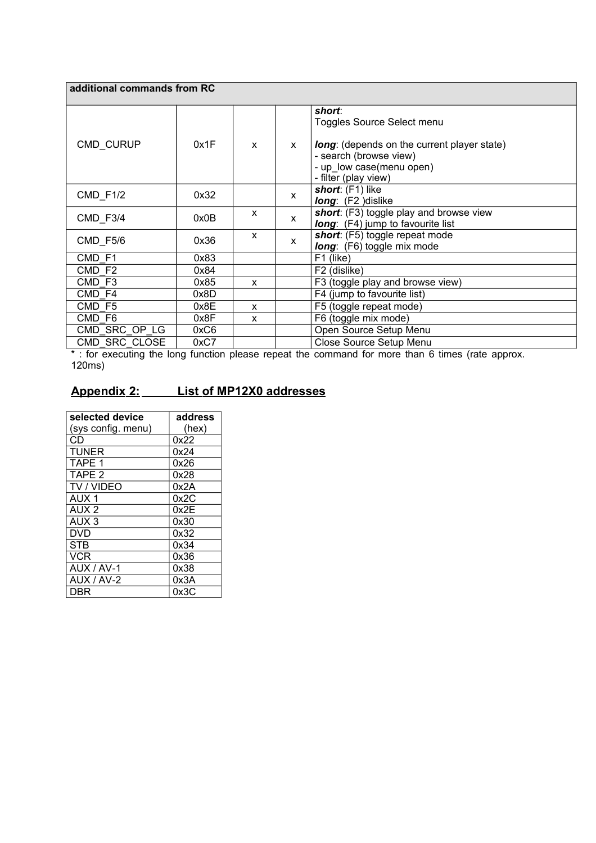| additional commands from RC |      |                           |              |                                                    |  |  |
|-----------------------------|------|---------------------------|--------------|----------------------------------------------------|--|--|
|                             |      |                           |              | short:                                             |  |  |
|                             |      |                           |              | Toggles Source Select menu                         |  |  |
| CMD CURUP                   | 0x1F | $\boldsymbol{\mathsf{x}}$ | $\mathsf{x}$ | <b>long:</b> (depends on the current player state) |  |  |
|                             |      |                           |              | - search (browse view)                             |  |  |
|                             |      |                           |              | - up low case(menu open)                           |  |  |
|                             |      |                           |              | - filter (play view)                               |  |  |
| <b>CMD F1/2</b>             | 0x32 |                           | $\mathsf{x}$ | short: (F1) like                                   |  |  |
|                             |      |                           |              | long: (F2 )dislike                                 |  |  |
| CMD F3/4                    | 0x0B | X                         | $\mathsf{x}$ | short: (F3) toggle play and browse view            |  |  |
|                             |      |                           |              | <b>long</b> : (F4) jump to favourite list          |  |  |
| CMD_F5/6                    | 0x36 | X                         | $\mathsf{x}$ | short: (F5) toggle repeat mode                     |  |  |
|                             |      |                           |              | <b>long:</b> (F6) toggle mix mode                  |  |  |
| CMD F1                      | 0x83 |                           |              | F1 (like)                                          |  |  |
| CMD <sub>F2</sub>           | 0x84 |                           |              | F2 (dislike)                                       |  |  |
| CMD F3                      | 0x85 | $\mathsf{x}$              |              | F3 (toggle play and browse view)                   |  |  |
| CMD_F4                      | 0x8D |                           |              | F4 (jump to favourite list)                        |  |  |
| CMD F5                      | 0x8E | $\boldsymbol{\mathsf{x}}$ |              | F5 (toggle repeat mode)                            |  |  |
| CMD F6                      | 0x8F | X                         |              | F6 (toggle mix mode)                               |  |  |
| CMD_SRC_OP_LG               | 0xC6 |                           |              | Open Source Setup Menu                             |  |  |
| CMD SRC CLOSE               | 0xC7 |                           |              | Close Source Setup Menu                            |  |  |

\* : for executing the long function please repeat the command for more than 6 times (rate approx. 120ms)

# **Appendix 2:** List of MP12X0 addresses

| selected device    | address |
|--------------------|---------|
| (sys config. menu) | (hex)   |
| СD                 | 0x22    |
| <b>TUNER</b>       | 0x24    |
| TAPE 1             | 0x26    |
| TAPE <sub>2</sub>  | 0x28    |
| <b>TV / VIDEO</b>  | 0x2A    |
| AUX <sub>1</sub>   | 0x2C    |
| AUX <sub>2</sub>   | 0x2E    |
| AUX <sub>3</sub>   | 0x30    |
| <b>DVD</b>         | 0x32    |
| <b>STB</b>         | 0x34    |
| <b>VCR</b>         | 0x36    |
| AUX / AV-1         | 0x38    |
| AUX / AV-2         | 0x3A    |
| DBR                | 0x3C    |